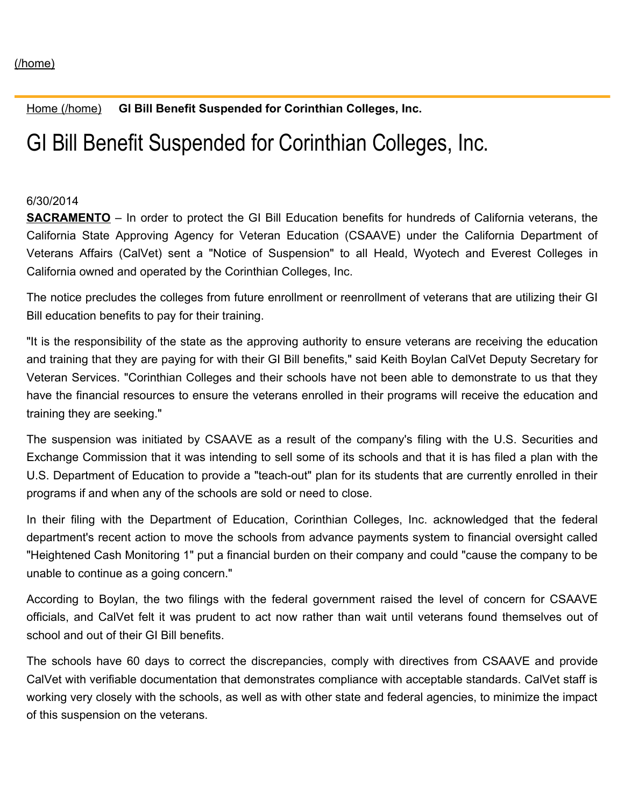Home [\(/home\)](https://www.calvet.ca.gov/home) **GI Bill Benefit Suspended for Corinthian Colleges, Inc.**

## GI Bill Benefit Suspended for Corinthian Colleges, Inc.

## 6/30/2014

**SACRAMENTO** – In order to protect the GI Bill Education benefits for hundreds of California veterans, the California State Approving Agency for Veteran Education (CSAAVE) under the California Department of Veterans Affairs (CalVet) sent a "Notice of Suspension" to all Heald, Wyotech and Everest Colleges in California owned and operated by the Corinthian Colleges, Inc.

The notice precludes the colleges from future enrollment or reenrollment of veterans that are utilizing their GI Bill education benefits to pay for their training.

"It is the responsibility of the state as the approving authority to ensure veterans are receiving the education and training that they are paying for with their GI Bill benefits," said Keith Boylan CalVet Deputy Secretary for Veteran Services. "Corinthian Colleges and their schools have not been able to demonstrate to us that they have the financial resources to ensure the veterans enrolled in their programs will receive the education and training they are seeking."

The suspension was initiated by CSAAVE as a result of the company's filing with the U.S. Securities and Exchange Commission that it was intending to sell some of its schools and that it is has filed a plan with the U.S. Department of Education to provide a "teach-out" plan for its students that are currently enrolled in their programs if and when any of the schools are sold or need to close.

In their filing with the Department of Education, Corinthian Colleges, Inc. acknowledged that the federal department's recent action to move the schools from advance payments system to financial oversight called "Heightened Cash Monitoring 1" put a financial burden on their company and could "cause the company to be unable to continue as a going concern."

According to Boylan, the two filings with the federal government raised the level of concern for CSAAVE officials, and CalVet felt it was prudent to act now rather than wait until veterans found themselves out of school and out of their GI Bill benefits.

The schools have 60 days to correct the discrepancies, comply with directives from CSAAVE and provide CalVet with verifiable documentation that demonstrates compliance with acceptable standards. CalVet staff is working very closely with the schools, as well as with other state and federal agencies, to minimize the impact of this suspension on the veterans.